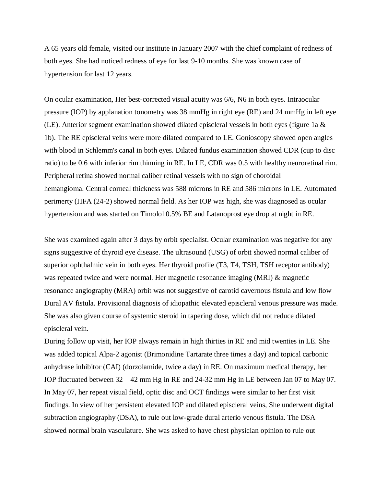A 65 years old female, visited our institute in January 2007 with the chief complaint of redness of both eyes. She had noticed redness of eye for last 9-10 months. She was known case of hypertension for last 12 years.

On ocular examination, Her best-corrected visual acuity was 6/6, N6 in both eyes. Intraocular pressure (IOP) by applanation tonometry was 38 mmHg in right eye (RE) and 24 mmHg in left eye (LE). Anterior segment examination showed dilated episcleral vessels in both eyes (figure 1a & 1b). The RE episcleral veins were more dilated compared to LE. Gonioscopy showed open angles with blood in Schlemm's canal in both eyes. Dilated fundus examination showed CDR (cup to disc ratio) to be 0.6 with inferior rim thinning in RE. In LE, CDR was 0.5 with healthy neuroretinal rim. Peripheral retina showed normal caliber retinal vessels with no sign of choroidal hemangioma. Central corneal thickness was 588 microns in RE and 586 microns in LE. Automated perimerty (HFA (24-2) showed normal field. As her IOP was high, she was diagnosed as ocular hypertension and was started on Timolol 0.5% BE and Latanoprost eye drop at night in RE.

She was examined again after 3 days by orbit specialist. Ocular examination was negative for any signs suggestive of thyroid eye disease. The ultrasound (USG) of orbit showed normal caliber of superior ophthalmic vein in both eyes. Her thyroid profile (T3, T4, TSH, TSH receptor antibody) was repeated twice and were normal. Her magnetic resonance imaging (MRI) & magnetic resonance angiography (MRA) orbit was not suggestive of carotid cavernous fistula and low flow Dural AV fistula. Provisional diagnosis of idiopathic elevated episcleral venous pressure was made. She was also given course of systemic steroid in tapering dose, which did not reduce dilated episcleral vein.

During follow up visit, her IOP always remain in high thirties in RE and mid twenties in LE. She was added topical Alpa-2 agonist (Brimonidine Tartarate three times a day) and topical carbonic anhydrase inhibitor (CAI) (dorzolamide, twice a day) in RE. On maximum medical therapy, her IOP fluctuated between 32 – 42 mm Hg in RE and 24-32 mm Hg in LE between Jan 07 to May 07. In May 07, her repeat visual field, optic disc and OCT findings were similar to her first visit findings. In view of her persistent elevated IOP and dilated episcleral veins, She underwent digital subtraction angiography (DSA), to rule out low-grade dural arterio venous fistula. The DSA showed normal brain vasculature. She was asked to have chest physician opinion to rule out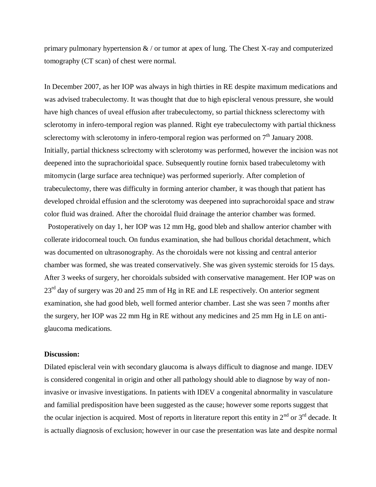primary pulmonary hypertension  $\&$  / or tumor at apex of lung. The Chest X-ray and computerized tomography (CT scan) of chest were normal.

In December 2007, as her IOP was always in high thirties in RE despite maximum medications and was advised trabeculectomy. It was thought that due to high episcleral venous pressure, she would have high chances of uveal effusion after trabeculectomy, so partial thickness sclerectomy with sclerotomy in infero-temporal region was planned. Right eye trabeculectomy with partial thickness sclerectomy with sclerotomy in infero-temporal region was performed on  $7<sup>th</sup>$  January 2008. Initially, partial thickness sclrectomy with sclerotomy was performed, however the incision was not deepened into the suprachorioidal space. Subsequently routine fornix based trabeculetomy with mitomycin (large surface area technique) was performed superiorly. After completion of trabeculectomy, there was difficulty in forming anterior chamber, it was though that patient has developed chroidal effusion and the sclerotomy was deepened into suprachoroidal space and straw color fluid was drained. After the choroidal fluid drainage the anterior chamber was formed.

 Postoperatively on day 1, her IOP was 12 mm Hg, good bleb and shallow anterior chamber with collerate iridocorneal touch. On fundus examination, she had bullous choridal detachment, which was documented on ultrasonography. As the choroidals were not kissing and central anterior chamber was formed, she was treated conservatively. She was given systemic steroids for 15 days. After 3 weeks of surgery, her choroidals subsided with conservative management. Her IOP was on 23<sup>rd</sup> day of surgery was 20 and 25 mm of Hg in RE and LE respectively. On anterior segment examination, she had good bleb, well formed anterior chamber. Last she was seen 7 months after the surgery, her IOP was 22 mm Hg in RE without any medicines and 25 mm Hg in LE on antiglaucoma medications.

## **Discussion:**

Dilated episcleral vein with secondary glaucoma is always difficult to diagnose and mange. IDEV is considered congenital in origin and other all pathology should able to diagnose by way of noninvasive or invasive investigations. In patients with IDEV a congenital abnormality in vasculature and familial predisposition have been suggested as the cause; however some reports suggest that the ocular injection is acquired. Most of reports in literature report this entity in  $2^{nd}$  or  $3^{rd}$  decade. It is actually diagnosis of exclusion; however in our case the presentation was late and despite normal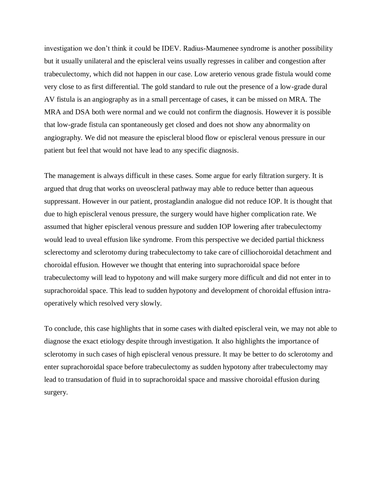investigation we don't think it could be IDEV. Radius-Maumenee syndrome is another possibility but it usually unilateral and the episcleral veins usually regresses in caliber and congestion after trabeculectomy, which did not happen in our case. Low areterio venous grade fistula would come very close to as first differential. The gold standard to rule out the presence of a low-grade dural AV fistula is an angiography as in a small percentage of cases, it can be missed on MRA. The MRA and DSA both were normal and we could not confirm the diagnosis. However it is possible that low-grade fistula can spontaneously get closed and does not show any abnormality on angiography. We did not measure the episcleral blood flow or episcleral venous pressure in our patient but feel that would not have lead to any specific diagnosis.

The management is always difficult in these cases. Some argue for early filtration surgery. It is argued that drug that works on uveoscleral pathway may able to reduce better than aqueous suppressant. However in our patient, prostaglandin analogue did not reduce IOP. It is thought that due to high episcleral venous pressure, the surgery would have higher complication rate. We assumed that higher episcleral venous pressure and sudden IOP lowering after trabeculectomy would lead to uveal effusion like syndrome. From this perspective we decided partial thickness sclerectomy and sclerotomy during trabeculectomy to take care of cilliochoroidal detachment and choroidal effusion. However we thought that entering into suprachoroidal space before trabeculectomy will lead to hypotony and will make surgery more difficult and did not enter in to suprachoroidal space. This lead to sudden hypotony and development of choroidal effusion intraoperatively which resolved very slowly.

To conclude, this case highlights that in some cases with dialted episcleral vein, we may not able to diagnose the exact etiology despite through investigation. It also highlights the importance of sclerotomy in such cases of high episcleral venous pressure. It may be better to do sclerotomy and enter suprachoroidal space before trabeculectomy as sudden hypotony after trabeculectomy may lead to transudation of fluid in to suprachoroidal space and massive choroidal effusion during surgery.